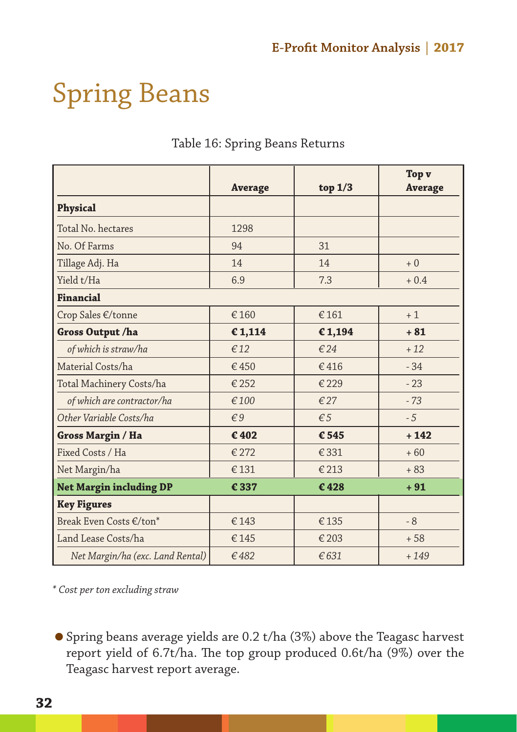## Spring Beans

|                                  | <b>Average</b> | top $1/3$    | Top v<br><b>Average</b> |
|----------------------------------|----------------|--------------|-------------------------|
| Physical                         |                |              |                         |
| Total No. hectares               | 1298           |              |                         |
| No. Of Farms                     | 94             | 31           |                         |
| Tillage Adj. Ha                  | 14             | 14           | $+0$                    |
| Yield t/Ha                       | 6.9            | 7.3          | $+0.4$                  |
| Financial                        |                |              |                         |
| Crop Sales €/tonne               | €160           | €161         | $+1$                    |
| Gross Output /ha                 | €1,114         | €1,194       | $+81$                   |
| of which is straw/ha             | €12            | €24          | $+12$                   |
| Material Costs/ha                | €450           | €416         | $-34$                   |
| Total Machinery Costs/ha         | € 252          | €229         | $-23$                   |
| of which are contractor/ha       | €100           | €27          | $-73$                   |
| Other Variable Costs/ha          | $\xi$ 9        | $\epsilon$ 5 | $-5$                    |
| Gross Margin / Ha                | €402           | € 545        | $+142$                  |
| Fixed Costs / Ha                 | € 272          | €331         | $+60$                   |
| Net Margin/ha                    | €131           | €213         | $+83$                   |
| <b>Net Margin including DP</b>   | €337           | €428         | $+91$                   |
| <b>Key Figures</b>               |                |              |                         |
| Break Even Costs €/ton*          | €143           | €135         | $-8$                    |
| Land Lease Costs/ha              | €145           | €203         | $+58$                   |
| Net Margin/ha (exc. Land Rental) | €482           | €631         | $+149$                  |

## Table 16: Spring Beans Returns

*\* Cost per ton excluding straw*

 Spring beans average yields are 0.2 t/ha (3%) above the Teagasc harvest report yield of 6.7t/ha. The top group produced 0.6t/ha (9%) over the Teagasc harvest report average.